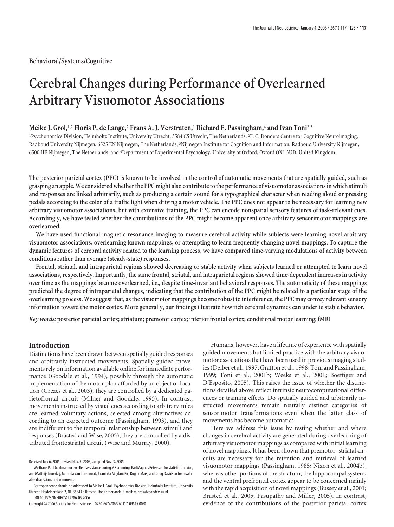**Behavioral/Systems/Cognitive**

# **Cerebral Changes during Performance of Overlearned Arbitrary Visuomotor Associations**

# **Meike J. Grol,**1,2 **Floris P. de Lange,**<sup>2</sup> **Frans A. J. Verstraten,**<sup>1</sup> **Richard E. Passingham,**<sup>4</sup> **and Ivan Toni**2,3

<sup>1</sup>Psychonomics Division, Helmholtz Institute, University Utrecht, 3584 CS Utrecht, The Netherlands, <sup>2</sup>F. C. Donders Centre for Cognitive Neuroimaging, Radboud University Nijmegen, 6525 EN Nijmegen, The Netherlands, <sup>3</sup>Nijmegen Institute for Cognition and Information, Radboud University Nijmegen, 6500 HE Nijmegen, The Netherlands, and <sup>4</sup> Department of Experimental Psychology, University of Oxford, Oxford OX1 3UD, United Kingdom

**The posterior parietal cortex (PPC) is known to be involved in the control of automatic movements that are spatially guided, such as grasping an apple. We considered whetherthe PPC might also contributetothe performance of visuomotor associations in which stimuli and responses are linked arbitrarily, such as producing a certain sound for a typographical character when reading aloud or pressing pedals according to the color of a traffic light when driving a motor vehicle. The PPC does not appear to be necessary for learning new arbitrary visuomotor associations, but with extensive training, the PPC can encode nonspatial sensory features of task-relevant cues. Accordingly, we have tested whether the contributions of the PPC might become apparent once arbitrary sensorimotor mappings are overlearned.**

**We have used functional magnetic resonance imaging to measure cerebral activity while subjects were learning novel arbitrary visuomotor associations, overlearning known mappings, or attempting to learn frequently changing novel mappings. To capture the dynamic features of cerebral activity related to the learning process, we have compared time-varying modulations of activity between conditions rather than average (steady-state) responses.**

**Frontal, striatal, and intraparietal regions showed decreasing or stable activity when subjects learned or attempted to learn novel associations, respectively. Importantly, the same frontal, striatal, and intraparietal regions showed time-dependent increases in activity over time as the mappings become overlearned, i.e., despite time-invariant behavioral responses. The automaticity of these mappings predicted the degree of intraparietal changes, indicating that the contribution of the PPC might be related to a particular stage of the overlearning process. We suggest that, as the visuomotor mappings become robust to interference, the PPC may convey relevant sensory information toward the motor cortex. More generally, our findings illustrate how rich cerebral dynamics can underlie stable behavior.**

*Key words:* **posterior parietal cortex; striatum; premotor cortex; inferior frontal cortex; conditional motor learning; fMRI**

# **Introduction**

Distinctions have been drawn between spatially guided responses and arbitrarily instructed movements. Spatially guided movements rely on information available online for immediate performance (Goodale et al., 1994), possibly through the automatic implementation of the motor plan afforded by an object or location (Grezes et al., 2003); they are controlled by a dedicated parietofrontal circuit (Milner and Goodale, 1995). In contrast, movements instructed by visual cues according to arbitrary rules are learned voluntary actions, selected among alternatives according to an expected outcome (Passingham, 1993), and they are indifferent to the temporal relationship between stimuli and responses (Brasted and Wise, 2005); they are controlled by a distributed frontostriatal circuit (Wise and Murray, 2000).

Humans, however, have a lifetime of experience with spatially guided movements but limited practice with the arbitrary visuomotor associations that have been used in previous imaging studies (Deiber et al., 1997; Grafton et al., 1998; Toni and Passingham, 1999; Toni et al., 2001b; Weeks et al., 2001; Boettiger and D'Esposito, 2005). This raises the issue of whether the distinctions detailed above reflect intrinsic neurocomputational differences or training effects. Do spatially guided and arbitrarily instructed movements remain neurally distinct categories of sensorimotor transformations even when the latter class of movements has become automatic?

Here we address this issue by testing whether and where changes in cerebral activity are generated during overlearning of arbitrary visuomotor mappings as compared with initial learning of novel mappings. It has been shown that premotor–striatal circuits are necessary for the retention and retrieval of learned visuomotor mappings (Passingham, 1985; Nixon et al., 2004b), whereas other portions of the striatum, the hippocampal system, and the ventral prefrontal cortex appear to be concerned mainly with the rapid acquisition of novel mappings (Bussey et al., 2001; Brasted et al., 2005; Pasupathy and Miller, 2005). In contrast, evidence of the contributions of the posterior parietal cortex

Received July 6, 2005; revised Nov. 3, 2005; accepted Nov. 3, 2005.

We thank Paul Gaalman for excellent assistance during MR scanning, Karl Magnus Petersson for statistical advice, and Matthijs Noordzij, Miranda van Turennout, Jasminka Majdandžić, Rogier Mars, and Doug Davidson for invaluable discussions and comments.

Correspondence should be addressed to Meike J. Grol, Psychonomics Division, Helmholtz Institute, University Utrecht, Heidelberglaan 2, NL-3584 CS Utrecht, The Netherlands. E-mail: m.grol@fcdonders.ru.nl. DOI:10.1523/JNEUROSCI.2786-05.2006

Copyright © 2006 Society for Neuroscience 0270-6474/06/260117-09\$15.00/0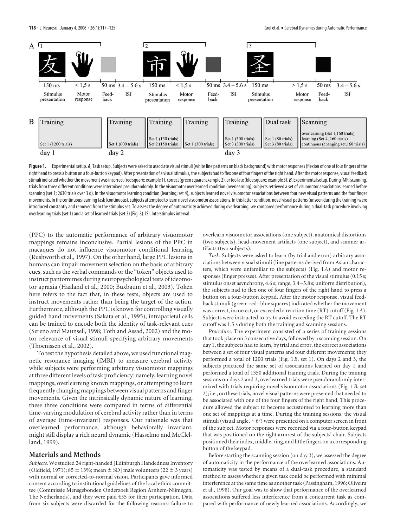

Figure 1. Experimental setup. A, Task setup. Subjects were asked to associate visual stimuli (white line patterns on black background) with motor responses (flexion of one of four fingers of the right hand to press a button on a four-button keypad). After presentation of a visual stimulus, the subjects had to flex one of four fingers of the right hand. After the motor response, visual feedback stimuli indicated whether the movement was incorrect (red square; example 1), correct (green square; example 2), or too late (blue square; example 3). B, Experimental setup. During fMRI scanning, trials from three different conditions were intermixed pseudorandomly. In the visuomotor overlearned condition (overlearning), subjects retrieved a set of visuomotor associations learned before scanning (set 1; 2630 trials over 3 d). In the visuomotor learning condition (learning; set 4), subjects learned novel visuomotor associations between four new visual patterns and the four finger movements. In the continuous learning task (continuous), subjects attempted to learn novel visuomotor associations. In this latter condition, novel visual patterns (unseen during the training) were introduced constantly and removed from the stimulus set. To assess the degree of automaticity achieved during overlearning, we compared performance during a dual-task procedure involving overlearning trials (set 1) and a set of learned trials (set 3) (Fig. 3). ISI, Interstimulus interval.

(PPC) to the automatic performance of arbitrary visuomotor mappings remains inconclusive. Partial lesions of the PPC in macaques do not influence visuomotor conditional learning (Rushworth et al., 1997). On the other hand, large PPC lesions in humans can impair movement selection on the basis of arbitrary cues, such as the verbal commands or the "token" objects used to instruct pantomimes during neuropsychological tests of ideomotor apraxia (Haaland et al., 2000; Buxbaum et al., 2003). Token here refers to the fact that, in these tests, objects are used to instruct movements rather than being the target of the action. Furthermore, although the PPC is known for controlling visually guided hand movements (Sakata et al., 1995), intraparietal cells can be trained to encode both the identity of task-relevant cues (Sereno and Maunsell, 1998; Toth and Assad, 2002) and the motor relevance of visual stimuli specifying arbitrary movements (Thoenissen et al., 2002).

To test the hypothesis detailed above, we used functional magnetic resonance imaging (fMRI) to measure cerebral activity while subjects were performing arbitrary visuomotor mappings at three different levels of task proficiency: namely, learning novel mappings, overlearning known mappings, or attempting to learn frequently changing mappings between visual patterns and finger movements. Given the intrinsically dynamic nature of learning, these three conditions were compared in terms of differential time-varying modulation of cerebral activity rather than in terms of average (time-invariant) responses. Our rationale was that overlearned performance, although behaviorally invariant, might still display a rich neural dynamic (Hasselmo and McClelland, 1999).

# **Materials and Methods**

*Subjects*. We studied 24 right-handed [Edinburgh Handedness Inventory (Oldfield, 1971); 85  $\pm$  13%; mean  $\pm$  SD] male volunteers (22  $\pm$  3 years) with normal or corrected-to-normal vision. Participants gave informed consent according to institutional guidelines of the local ethics committee (Commissie Mensgebonden Onderzoek Region Arnhem-Nijmegen, The Netherlands), and they were paid €35 for their participation. Data from six subjects were discarded for the following reasons: failure to overlearn visuomotor associations (one subject), anatomical distortions (two subjects), head-movement artifacts (one subject), and scanner artifacts (two subjects).

*Task*. Subjects were asked to learn (by trial and error) arbitrary associations between visual stimuli (line patterns derived from Asian characters, which were unfamiliar to the subjects) (Fig. 1*A*) and motor responses (finger presses). After presentation of the visual stimulus (0.15 s; stimulus onset asynchrony, 4.6 s; range, 3.4 –5.8 s; uniform distribution), the subjects had to flex one of four fingers of the right hand to press a button on a four-button keypad. After the motor response, visual feedback stimuli (green–red– blue squares) indicated whether the movement was correct, incorrect, or exceeded a reaction time (RT) cutoff (Fig. 1*A*). Subjects were instructed to try to avoid exceeding the RT cutoff. The RT cutoff was 1.5 s during both the training and scanning sessions.

*Procedure*. The experiment consisted of a series of training sessions that took place on 3 consecutive days, followed by a scanning session. On day 1, the subjects had to learn, by trial and error, the correct associations between a set of four visual patterns and four different movements; they performed a total of 1200 trials (Fig. 1*B*, set 1). On days 2 and 3, the subjects practiced the same set of associations learned on day 1 and performed a total of 1350 additional training trials. During the training sessions on days 2 and 3, overlearned trials were pseudorandomly intermixed with trials requiring novel visuomotor associations (Fig. 1*B*, set 2); i.e., on these trials, novel visual patterns were presented that needed to be associated with one of the four fingers of the right hand. This procedure allowed the subject to become accustomed to learning more than one set of mappings at a time. During the training sessions, the visual stimuli (visual angle,  $\sim$ 6°) were presented on a computer screen in front of the subject. Motor responses were recorded via a four-button keypad that was positioned on the right armrest of the subjects' chair. Subjects positioned their index, middle, ring, and little fingers on a corresponding button of the keypad.

Before starting the scanning session (on day 3), we assessed the degree of automaticity in the performance of the overlearned associations. Automaticity was tested by means of a dual-task procedure, a standard method to assess whether a given task could be performed with minimal interference at the same time as another task (Passingham, 1996; Oliveira et al., 1998). Our goal was to show that performance of the overlearned associations suffered less interference from a concurrent task as compared with performance of newly learned associations. Accordingly, we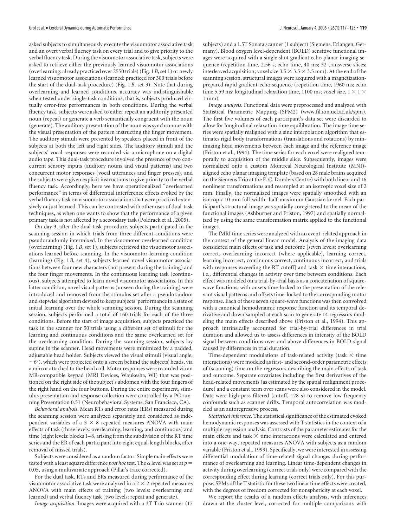asked subjects to simultaneously execute the visuomotor associative task and an overt verbal fluency task on every trial and to give priority to the verbal fluency task. During the visuomotor associative task, subjects were asked to retrieve either the previously learned visuomotor associations (overlearning: already practiced over 2550 trials) (Fig. 1*B*, set 1) or newly learned visuomotor associations (learned: practiced for 300 trials before the start of the dual-task procedure) (Fig. 1*B*, set 3). Note that during overlearning and learned conditions, accuracy was indistinguishable when tested under single-task conditions; that is, subjects produced virtually error-free performances in both conditions. During the verbal fluency task, subjects were asked to either repeat an auditorily presented noun (repeat) or generate a verb semantically congruent with the noun (generate). The auditory presentation of the noun was synchronous with the visual presentation of the pattern instructing the finger movement. The auditory stimuli were presented by speakers placed in front of the subjects at both the left and right sides. The auditory stimuli and the subjects' vocal responses were recorded via a microphone on a digital audio tape. This dual-task procedure involved the presence of two concurrent sensory inputs (auditory nouns and visual patterns) and two concurrent motor responses (vocal utterances and finger presses), and the subjects were given explicit instructions to give priority to the verbal fluency task. Accordingly, here we have operationalized "overlearned performance" in terms of differential interference effects evoked by the verbal fluency task on visuomotor associations that were practiced extensively or just learned. This can be contrasted with other uses of dual-task techniques, as when one wants to show that the performance of a given primary task is not affected by a secondary task (Poldrack et al., 2005).

On day 3, after the dual-task procedure, subjects participated in the scanning session in which trials from three different conditions were pseudorandomly intermixed. In the visuomotor overlearned condition (overlearning) (Fig. 1*B*, set 1), subjects retrieved the visuomotor associations learned before scanning. In the visuomotor learning condition (learning) (Fig. 1*B*, set 4), subjects learned novel visuomotor associations between four new characters (not present during the training) and the four finger movements. In the continuous learning task (continuous), subjects attempted to learn novel visuomotor associations. In this latter condition, novel visual patterns (unseen during the training) were introduced and removed from the stimulus set after a pseudorandom and stepwise algorithm devised to keep subjects' performance in a state of initial learning over the whole scanning session. During the scanning session, subjects performed a total of 160 trials for each of the three conditions. Before the start of image acquisition, subjects practiced the task in the scanner for 50 trials using a different set of stimuli for the learning and continuous conditions and the same overlearned set for the overlearning condition. During the scanning session, subjects lay supine in the scanner. Head movements were minimized by a padded, adjustable head holder. Subjects viewed the visual stimuli (visual angle,  $\sim$ 6°), which were projected onto a screen behind the subjects' heads, via a mirror attached to the head coil. Motor responses were recorded via an MR-compatible keypad (MRI Devices, Waukesha, WI) that was positioned on the right side of the subject's abdomen with the four fingers of the right hand on the four buttons. During the entire experiment, stimulus presentation and response collection were controlled by a PC running Presentation 0.51 (Neurobehavioral Systems, San Francisco, CA).

*Behavioral analysis*. Mean RTs and error rates (ERs) measured during the scanning session were analyzed separately and considered as independent variables of a  $3 \times 8$  repeated measures ANOVA with main effects of task (three levels: overlearning, learning, and continuous) and time (eight levels: blocks 1– 8, arising from the subdivision of the RT time series and the ER of each participant into eight equal-length blocks, after removal of missed trials).

Subjects were considered as a random factor. Simple main effects were tested with a least square difference *post hoc* test. The  $\alpha$  level was set at  $p =$ 0.05, using a multivariate approach (Pillai's trace corrected).

For the dual task, RTs and ERs measured during performance of the visuomotor associative task were analyzed in a  $2 \times 2$  repeated measures ANOVA with main effects of training (two levels: overlearning and learned) and verbal fluency task (two levels: repeat and generate).

*Image acquisition*. Images were acquired with a 3T Trio scanner (17

subjects) and a 1.5T Sonata scanner (1 subject) (Siemens, Erlangen, Germany). Blood oxygen level-dependent (BOLD) sensitive functional images were acquired with a single shot gradient echo planar imaging sequence (repetition time, 2.56 s; echo time, 40 ms; 32 transverse slices; interleaved acquisition; voxel size  $3.5 \times 3.5 \times 3.5$  mm). At the end of the scanning session, structural images were acquired with a magnetizationprepared rapid gradient-echo sequence (repetition time, 1960 ms; echo time 5.59 ms; longitudinal relaxation time, 1100 ms; voxel size,  $1 \times 1 \times$ 1 mm).

*Image analysis*. Functional data were preprocessed and analyzed with Statistical Parametric Mapping (SPM2) (www.fil.ion.ucl.ac.uk/spm). The first five volumes of each participant's data set were discarded to allow for longitudinal relaxation time equilibration. The image time series were spatially realigned with a sinc interpolation algorithm that estimates rigid body transformations (translations and rotations) by minimizing head movements between each image and the reference image (Friston et al., 1994). The time series for each voxel were realigned temporally to acquisition of the middle slice. Subsequently, images were normalized onto a custom Montreal Neurological Institute (MNI) aligned echo planar imaging template (based on 28 male brains acquired on the Siemens Trio at the F. C. Donders Centre) with both linear and 16 nonlinear transformations and resampled at an isotropic voxel size of 2 mm. Finally, the normalized images were spatially smoothed with an isotropic 10 mm full-width– half-maximum Gaussian kernel. Each participant's structural image was spatially coregistered to the mean of the functional images (Ashburner and Friston, 1997) and spatially normalized by using the same transformation matrix applied to the functional images.

The fMRI time series were analyzed with an event-related approach in the context of the general linear model. Analysis of the imaging data considered main effects of task and outcome [seven levels: overlearning correct, overlearning incorrect (where applicable), learning correct, learning incorrect, continuous correct, continuous incorrect, and trials with responses exceeding the RT cutoff] and task  $\times$  time interactions, i.e., differential changes in activity over time between conditions. Each effect was modeled on a trial-by-trial basis as a concatenation of squarewave functions, with onsets time-locked to the presentation of the relevant visual patterns and offsets time-locked to the corresponding motor response. Each of these seven square-wave functions was then convolved with a canonical hemodynamic response function and its temporal derivative and down sampled at each scan to generate 14 regressors modeling the main effects described above (Friston et al., 1994). This approach intrinsically accounted for trial-by-trial differences in trial duration and allowed us to assess differences in intensity of the BOLD signal between conditions over and above differences in BOLD signal caused by differences in trial duration.

Time-dependent modulations of task-related activity (task  $\times$  time interactions) were modeled as first- and second-order parametric effects of (scanning) time on the regressors describing the main effects of task and outcome. Separate covariates including the first derivatives of the head-related movements (as estimated by the spatial realignment procedure) and a constant term over scans were also considered in the model. Data were high-pass filtered (cutoff, 128 s) to remove low-frequency confounds such as scanner drifts. Temporal autocorrelation was modeled as an autoregressive process.

*Statistical inference*. The statistical significance of the estimated evoked hemodynamic responses was assessed with T statistics in the context of a multiple regression analysis. Contrasts of the parameter estimates for the main effects and task  $\times$  time interactions were calculated and entered into a one-way, repeated measures ANOVA with subjects as a random variable (Friston et al., 1999). Specifically, we were interested in assessing differential modulation of time-related signal changes during performance of overlearning and learning. Linear time-dependent changes in activity during overlearning (correct trials only) were compared with the corresponding effect during learning (correct trials only). For this purpose, SPMs of the T statistic for these two linear time effects were created, with the degrees of freedom corrected for nonsphericity at each voxel.

We report the results of a random effects analysis, with inferences drawn at the cluster level, corrected for multiple comparisons with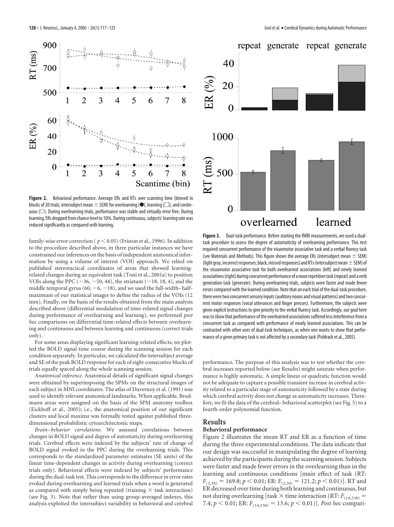

**Figure 2.** Behavioral performance. Average ERs and RTs over scanning time (binned in blocks of 20 trials; intersubject mean  $\pm$  SEM) for overlearning ( $\bullet$ ), learning ( $\Box$ ), and continuous ( $\odot$ ). During overlearning trials, performance was stable and virtually error free. During learning, ERs dropped from chance level to 10%. During continuous, subjects' learning rate was reduced significantly as compared with learning.

family-wise error correction ( $p < 0.05$ ) (Friston et al., 1996). In addition to the procedure described above, in three particular instances we have constrained our inferences on the basis of independent anatomical information by using a volume of interest (VOI) approach. We relied on published stereotactical coordinates of areas that showed learningrelated changes during an equivalent task (Toni et al., 2001a) to position VOIs along the PPC ( $-36, -50, 44$ ), the striatum ( $-18, 18, 4$ ), and the middle temporal gyrus (60,  $-6$ ,  $-18$ ), and we used the full-width-halfmaximum of our statistical images to define the radius of the VOIs (12 mm). Finally, on the basis of the results obtained from the main analysis described above (differential modulation of time-related signal changes during performance of overlearning and learning), we performed *post hoc* comparisons on differential time-related effects between overlearning and continuous and between learning and continuous (correct trials only).

For some areas displaying significant learning-related effects, we plotted the BOLD signal time course during the scanning session for each condition separately. In particular, we calculated the intersubject average and SE of the peak BOLD response for each of eight consecutive blocks of trials equally spaced along the whole scanning session.

*Anatomical inference*. Anatomical details of significant signal changes were obtained by superimposing the SPMs on the structural images of each subject in MNI coordinates. The atlas of Duvernoy et al. (1991) was used to identify relevant anatomical landmarks. When applicable, Brodmann areas were assigned on the basis of the SPM anatomy toolbox (Eickhoff et al., 2005); i.e., the anatomical position of our significant clusters and local maxima was formally tested against published threedimensional probabilistic cytoarchitectonic maps.

*Brain– behavior correlations*. We assessed correlations between changes in BOLD signal and degree of automaticity during overlearning trials. Cerebral effects were indexed by the subjects' rate of change of BOLD signal evoked in the PPC during the overlearning trials. This corresponds to the standardized parameter estimates (SE units) of the linear time-dependent changes in activity during overlearning (correct trials only). Behavioral effects were indexed by subjects' performance during the dual-task test. This corresponds to the difference in error rates evoked during overlearning and learned trials when a word is generated as compared with simply being repeated (training  $\times$  task interaction) (see Fig. 3). Note that rather than using group-averaged indexes, this analysis exploited the intersubject variability in behavioral and cerebral



**Figure 3.** Dual-task performance. Before starting the fMRI measurements, we used a dualtask procedure to assess the degree of automaticity of overlearning performance. This test required concurrent performance of the visuomotor associative task and a verbal fluency task (see Materials and Methods). This figure shows the average ERs (intersubject mean  $\pm$  SEM) (light gray, incorrect responses; black, missed responses) and RTs (intersubject mean  $\pm$  SEM) of the visuomotor associative task for both overlearned associations (left) and newly learned associations (right) during concurrent performance of a noun repetition task (repeat) and a verb generation task (generate). During overlearning trials, subjects were faster and made fewer errors compared with the learned condition. Note that on each trial of the dual-task procedure, there were two concurrent sensory inputs (auditory nouns and visual patterns) and two concurrent motor responses (vocal utterances and finger presses). Furthermore, the subjects were given explicit instructions to give priority to the verbal fluency task. Accordingly, our goal here was to show that performance of the overlearned associations suffered less interference from a concurrent task as compared with performance of newly learned associations. This can be contrasted with other uses of dual-task techniques, as when one wants to show that performance of a given primary task is not affected by a secondary task (Poldrack et al., 2005).

performance. The purpose of this analysis was to test whether the cerebral increases reported below (see Results) might saturate when performance is highly automatic. A simple linear or quadratic function would not be adequate to capture a possible transient increase in cerebral activity related to a particular stage of automaticity followed by a state during which cerebral activity does not change as automaticity increases. Therefore, we fit the data of the cerebral– behavioral scatterplot (see Fig. 5) to a fourth-order polynomial function.

# **Results**

## **Behavioral performance**

Figure 2 illustrates the mean RT and ER as a function of time during the three experimental conditions. The data indicate that our design was successful in manipulating the degree of learning achieved by the participants during the scanning session. Subjects were faster and made fewer errors in the overlearning than in the learning and continuous conditions [main effect of task (RT:  $F_{(2,34)} = 169.8; p < 0.01;$  ER:  $F_{(2,34)} = 121.2; p < 0.01$ )]. RT and ER decreased over time during both learning and continuous, but not during overlearning [task  $\times$  time interaction (RT:  $F_{(14,238)}$  = 7.4;  $p < 0.01$ ; ER:  $F_{(14,238)} = 13.6$ ;  $p < 0.01$ )]. *Post hoc* compari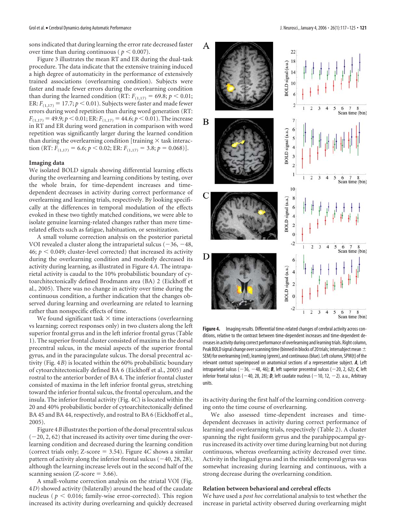sons indicated that during learning the error rate decreased faster over time than during continuous ( $p < 0.007$ ).

Figure 3 illustrates the mean RT and ER during the dual-task procedure. The data indicate that the extensive training induced a high degree of automaticity in the performance of extensively trained associations (overlearning condition). Subjects were faster and made fewer errors during the overlearning condition than during the learned condition (RT:  $F_{(1,17)} = 69.8; p < 0.01;$ ER:  $F_{(1,17)} = 17.7; p < 0.01$ ). Subjects were faster and made fewer errors during word repetition than during word generation (RT:  $F_{(1,17)} = 49.9; p < 0.01;$  ER:  $F_{(1,17)} = 44.6; p < 0.01$ ). The increase in RT and ER during word generation in comparison with word repetition was significantly larger during the learned condition than during the overlearning condition [training  $\times$  task interaction (RT:  $F_{(1,17)} = 6.6; p < 0.02;$  ER:  $F_{(1,17)} = 3.8; p = 0.068$ )].

#### **Imaging data**

We isolated BOLD signals showing differential learning effects during the overlearning and learning conditions by testing, over the whole brain, for time-dependent increases and timedependent decreases in activity during correct performance of overlearning and learning trials, respectively. By looking specifically at the differences in temporal modulation of the effects evoked in these two tightly matched conditions, we were able to isolate genuine learning-related changes rather than mere timerelated effects such as fatigue, habituation, or sensitization.

A small volume correction analysis on the posterior parietal VOI revealed a cluster along the intraparietal sulcus ( $-36$ ,  $-48$ , 46;  $p < 0.049$ ; cluster-level corrected) that increased its activity during the overlearning condition and modestly decreased its activity during learning, as illustrated in Figure 4*A*. The intraparietal activity is caudal to the 10% probabilistic boundary of cytoarchitectonically defined Brodmann area (BA) 2 (Eickhoff et al., 2005). There was no change in activity over time during the continuous condition, a further indication that the changes observed during learning and overlearning are related to learning rather than nonspecific effects of time.

We found significant task  $\times$  time interactions (overlearning vs learning; correct responses only) in two clusters along the left superior frontal gyrus and in the left inferior frontal gyrus (Table 1). The superior frontal cluster consisted of maxima in the dorsal precentral sulcus, in the mesial aspects of the superior frontal gyrus, and in the paracingulate sulcus. The dorsal precentral activity (Fig. 4*B*) is located within the 60% probabilistic boundary of cytoarchitectonically defined BA 6 (Eickhoff et al., 2005) and rostral to the anterior border of BA 4. The inferior frontal cluster consisted of maxima in the left inferior frontal gyrus, stretching toward the inferior frontal sulcus, the frontal operculum, and the insula. The inferior frontal activity (Fig. 4*C*) is located within the 20 and 40% probabilistic border of cytoarchitectonically defined BA 45 and BA 44, respectively, and rostral to BA 6 (Eickhoff et al., 2005).

Figure 4*B* illustrates the portion of the dorsal precentral sulcus  $(-20, 2, 62)$  that increased its activity over time during the overlearning condition and decreased during the learning condition (correct trials only;  $Z$ -score  $= 3.54$ ). Figure  $4C$  shows a similar pattern of activity along the inferior frontal sulcus  $(-40, 28, 28)$ , although the learning increase levels out in the second half of the scanning session ( $Z$ -score = 3.66).

A small-volume correction analysis on the striatal VOI (Fig. 4*D*) showed activity (bilaterally) around the head of the caudate nucleus ( $p < 0.016$ ; family-wise error-corrected). This region increased its activity during overlearning and quickly decreased



**Figure 4.** Imaging results. Differential time-related changes of cerebral activity across conditions, relative to the contrast between time-dependent increases and time-dependent decreases in activity during correct performance of overlearning and learning trials. Right column, Peak BOLD signal change over scanning time (binned in blocks of 20 trials; intersubject mean  $\pm$ SEM) for overlearning (red), learning (green), and continuous (blue). Left column, SPM{t} of the relevant contrast superimposed on anatomical sections of a representative subject. *A*, Left intraparietal sulcus ( $-36$ ,  $-48$ , 46); **B**, left superior precentral sulcus ( $-20$ , 2, 62); **C**, left inferior frontal sulcus  $(-40, 28, 28)$ ; **D**, left caudate nucleus  $(-10, 12, -2)$ . a.u., Arbitrary units.

its activity during the first half of the learning condition converging onto the time course of overlearning.

We also assessed time-dependent increases and timedependent decreases in activity during correct performance of learning and overlearning trials, respectively (Table 2). A cluster spanning the right fusiform gyrus and the parahippocampal gyrus increased its activity over time during learning but not during continuous, whereas overlearning activity decreased over time. Activity in the lingual gyrus and in the middle temporal gyrus was somewhat increasing during learning and continuous, with a strong decrease during the overlearning condition.

#### **Relation between behavioral and cerebral effects**

We have used a *post hoc* correlational analysis to test whether the increase in parietal activity observed during overlearning might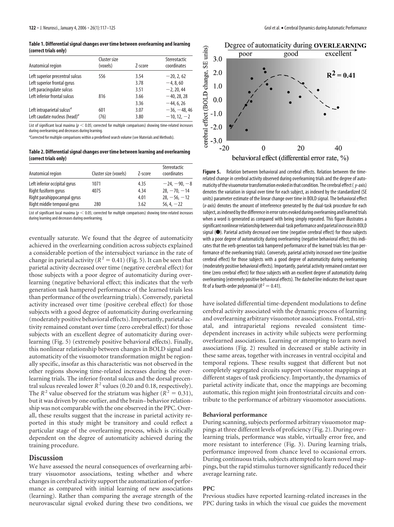**Table 1. Differential signal changes over time between overlearning and learning (correct trials only)**

| Anatomical region                               | Cluster size<br>(voxels) | Z-score | Stereotactic<br>coordinates |
|-------------------------------------------------|--------------------------|---------|-----------------------------|
| Left superior precentral sulcus                 | 556                      | 3.54    | $-20, 2, 62$                |
| Left superior frontal gyrus                     |                          | 3.78    | $-4, 8, 60$                 |
| Left paracingulate sulcus                       |                          | 3.51    | $-2.20.44$                  |
| Left inferior frontal sulcus                    | 816                      | 3.66    | $-40.28.28$                 |
|                                                 |                          | 3.36    | $-44, 6, 26$                |
| Left intraparietal sulcus <sup>a</sup>          | 601                      | 3.07    | $-36, -48, 46$              |
| Left caudate nucleus (head) <sup><i>a</i></sup> | (76)                     | 3.80    | $-10, 12, -2$               |

List of significant local maxima ( $p < 0.05$ ; corrected for multiple comparisons) showing time-related increases during overlearning and decreases during learning.

*a* Corrected for multiple comparisons within a predefined search volume (see Materials and Methods).

**Table 2. Differential signal changes over time between learning and overlearning (correct trials only)**

| Anatomical region             | Cluster size (voxels) | Z-score | Stereotactic<br>coordinates |
|-------------------------------|-----------------------|---------|-----------------------------|
| Left inferior occipital gyrus | 1071                  | 4.35    | $-24, -90, -8$              |
| Right fusiform gyrus          | 4075                  | 4.34    | $28. - 70. - 14$            |
| Right parahippocampal gyrus   |                       | 4.01    | $28, -56, -12$              |
| Right middle temporal gyrus   | 280                   | 3.62    | $56, 4, -22$                |

List of significant local maxima ( $p < 0.05$ ; corrected for multiple comparisons) showing time-related increases during learning and decreases during overlearning.

eventually saturate. We found that the degree of automaticity achieved in the overlearning condition across subjects explained a considerable portion of the intersubject variance in the rate of change in parietal activity ( $R^2 = 0.41$ ) (Fig. 5). It can be seen that parietal activity decreased over time (negative cerebral effect) for those subjects with a poor degree of automaticity during overlearning (negative behavioral effect; this indicates that the verb generation task hampered performance of the learned trials less than performance of the overlearning trials). Conversely, parietal activity increased over time (positive cerebral effect) for those subjects with a good degree of automaticity during overlearning (moderately positive behavioral effects). Importantly, parietal activity remained constant over time (zero cerebral effect) for those subjects with an excellent degree of automaticity during overlearning (Fig. 5) (extremely positive behavioral effects). Finally, this nonlinear relationship between changes in BOLD signal and automaticity of the visuomotor transformation might be regionally specific, insofar as this characteristic was not observed in the other regions showing time-related increases during the overlearning trials. The inferior frontal sulcus and the dorsal precentral sulcus revealed lower  $R^2$  values (0.20 and 0.18, respectively). The  $R^2$  value observed for the striatum was higher ( $R^2 = 0.31$ ), but it was driven by one outlier, and the brain– behavior relationship was not comparable with the one observed in the PPC. Overall, these results suggest that the increase in parietal activity reported in this study might be transitory and could reflect a particular stage of the overlearning process, which is critically dependent on the degree of automaticity achieved during the training procedure.

## **Discussion**

We have assessed the neural consequences of overlearning arbitrary visuomotor associations, testing whether and where changes in cerebral activity support the automatization of performance as compared with initial learning of new associations (learning). Rather than comparing the average strength of the neurovascular signal evoked during these two conditions, we



**Figure 5.** Relation between behavioral and cerebral effects. Relation between the timerelated change in cerebral activity observed during overlearning trials and the degree of automaticity ofthe visuomotortransformation evoked inthat condition. The cerebral effect( *y*-axis) denotes the variation in signal over time for each subject, as indexed by the standardized (SE units) parameter estimate of the linear change over time in BOLD signal. The behavioral effect (*x*-axis) denotes the amount of interference generated by the dual-task procedure for each subject, as indexed by the difference in error rates evoked during overlearning and learned trials when a word is generated as compared with being simply repeated. This figure illustrates a significant nonlinearrelationship between dual-task performance and parietal increase in BOLD signal ( $\bullet$ ). Parietal activity decreased over time (negative cerebral effect) for those subjects with a poor degree of automaticity during overlearning (negative behavioral effect; this indicates that the verb generation task hampered performance of the learned trials less than performance of the overlearning trials). Conversely, parietal activity increased over time (positive cerebral effect) for those subjects with a good degree of automaticity during overlearning (moderately positive behavioral effects). Importantly, parietal activity remained constant over time (zero cerebral effect) for those subjects with an excellent degree of automaticity during overlearning (extremely positive behavioral effects). The dashed line indicates the leastsquare fit of a fourth-order polynomial ( $R^2 = 0.41$ ).

have isolated differential time-dependent modulations to define cerebral activity associated with the dynamic process of learning and overlearning arbitrary visuomotor associations. Frontal, striatal, and intraparietal regions revealed consistent timedependent increases in activity while subjects were performing overlearned associations. Learning or attempting to learn novel associations (Fig. 2) resulted in decreased or stable activity in these same areas, together with increases in ventral occipital and temporal regions. These results suggest that different but not completely segregated circuits support visuomotor mappings at different stages of task proficiency. Importantly, the dynamics of parietal activity indicate that, once the mappings are becoming automatic, this region might join frontostriatal circuits and contribute to the performance of arbitrary visuomotor associations.

#### **Behavioral performance**

During scanning, subjects performed arbitrary visuomotor mappings at three different levels of proficiency (Fig. 2). During overlearning trials, performance was stable, virtually error free, and more resistant to interference (Fig. 3). During learning trials, performance improved from chance level to occasional errors. During continuous trials, subjects attempted to learn novel mappings, but the rapid stimulus turnover significantly reduced their average learning rate.

## **PPC**

Previous studies have reported learning-related increases in the PPC during tasks in which the visual cue guides the movement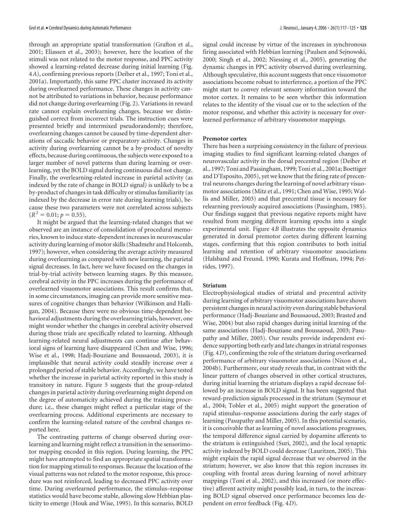through an appropriate spatial transformation (Grafton et al., 2001; Eliassen et al., 2003); however, here the location of the stimuli was not related to the motor response, and PPC activity showed a learning-related decrease during initial learning (Fig. 4*A*), confirming previous reports (Deiber et al., 1997; Toni et al., 2001a). Importantly, this same PPC cluster increased its activity during overlearned performance. These changes in activity cannot be attributed to variations in behavior, because performance did not change during overlearning (Fig. 2). Variations in reward rate cannot explain overlearning changes, because we distinguished correct from incorrect trials. The instruction cues were presented briefly and intermixed pseudorandomly; therefore, overlearning changes cannot be caused by time-dependent alterations of saccadic behavior or preparatory activity. Changes in activity during overlearning cannot be a by-product of novelty effects, because during continuous, the subjects were exposed to a larger number of novel patterns than during learning or overlearning, yet the BOLD signal during continuous did not change. Finally, the overlearning-related increase in parietal activity (as indexed by the rate of change in BOLD signal) is unlikely to be a by-product of changes in task difficulty or stimulus familiarity (as indexed by the decrease in error rate during learning trials), because these two parameters were not correlated across subjects  $(R^{2} = 0.01; p = 0.55).$ 

It might be argued that the learning-related changes that we observed are an instance of consolidation of procedural memories, known to induce state-dependent increases in neurovascular activity during learning of motor skills (Shadmehr and Holcomb, 1997); however, when considering the average activity measured during overlearning as compared with new learning, the parietal signal decreases. In fact, here we have focused on the changes in trial-by-trial activity between learning stages. By this measure, cerebral activity in the PPC increases during the performance of overlearned visuomotor associations. This result confirms that, in some circumstances, imaging can provide more sensitive measures of cognitive changes than behavior (Wilkinson and Halligan, 2004). Because there were no obvious time-dependent behavioral adjustments during the overlearning trials, however, one might wonder whether the changes in cerebral activity observed during those trials are specifically related to learning. Although learning-related neural adjustments can continue after behavioral signs of learning have disappeared (Chen and Wise, 1996; Wise et al., 1998; Hadj-Bouziane and Boussaoud, 2003), it is implausible that neural activity could steadily increase over a prolonged period of stable behavior. Accordingly, we have tested whether the increase in parietal activity reported in this study is transitory in nature. Figure 5 suggests that the group-related changes in parietal activity during overlearning might depend on the degree of automaticity achieved during the training procedure; i.e., these changes might reflect a particular stage of the overlearning process. Additional experiments are necessary to confirm the learning-related nature of the cerebral changes reported here.

The contrasting patterns of change observed during overlearning and learning might reflect a transition in the sensorimotor mapping encoded in this region. During learning, the PPC might have attempted to find an appropriate spatial transformation for mapping stimuli to responses. Because the location of the visual patterns was not related to the motor response, this procedure was not reinforced, leading to decreased PPC activity over time. During overlearned performance, the stimulus–response statistics would have become stable, allowing slow Hebbian plasticity to emerge (Houk and Wise, 1995). In this scenario, BOLD

signal could increase by virtue of the increases in synchronous firing associated with Hebbian learning (Paulsen and Sejnowski, 2000; Singh et al., 2002; Niessing et al., 2005), generating the dynamic changes in PPC activity observed during overlearning. Although speculative, this account suggests that once visuomotor associations become robust to interference, a portion of the PPC might start to convey relevant sensory information toward the motor cortex. It remains to be seen whether this information relates to the identity of the visual cue or to the selection of the motor response, and whether this activity is necessary for overlearned performance of arbitrary visuomotor mappings.

#### **Premotor cortex**

There has been a surprising consistency in the failure of previous imaging studies to find significant learning-related changes of neurovascular activity in the dorsal precentral region (Deiber et al., 1997; Toni and Passingham, 1999; Toni et al., 2001a; Boettiger and D'Esposito, 2005), yet we know that the firing rate of precentral neurons changes during the learning of novel arbitrary visuomotor associations (Mitz et al., 1991; Chen and Wise, 1995; Wallis and Miller, 2003) and that precentral tissue is necessary for relearning previously acquired associations (Passingham, 1985). Our findings suggest that previous negative reports might have resulted from merging different learning epochs into a single experimental unit. Figure 4*B* illustrates the opposite dynamics generated in dorsal premotor cortex during different learning stages, confirming that this region contributes to both initial learning and retention of arbitrary visuomotor associations (Halsband and Freund, 1990; Kurata and Hoffman, 1994; Petrides, 1997).

#### **Striatum**

Electrophysiological studies of striatal and precentral activity during learning of arbitrary visuomotor associations have shown persistent changes in neural activity even during stable behavioral performance (Hadj-Bouziane and Boussaoud, 2003; Brasted and Wise, 2004) but also rapid changes during initial learning of the same associations (Hadj-Bouziane and Boussaoud, 2003; Pasupathy and Miller, 2005). Our results provide independent evidence supporting both early and late changes in striatal responses (Fig. 4*D*), confirming the role of the striatum during overlearned performance of arbitrary visuomotor associations (Nixon et al., 2004b). Furthermore, our study reveals that, in contrast with the linear pattern of changes observed in other cortical structures, during initial learning the striatum displays a rapid decrease followed by an increase in BOLD signal. It has been suggested that reward-prediction signals processed in the striatum (Seymour et al., 2004; Tobler et al., 2005) might support the generation of rapid stimulus–response associations during the early stages of learning (Pasupathy and Miller, 2005). In this potential scenario, it is conceivable that as learning of novel associations progresses, the temporal difference signal carried by dopamine afferents to the striatum is extinguished (Suri, 2002), and the local synaptic activity indexed by BOLD could decrease (Lauritzen, 2005). This might explain the rapid signal decrease that we observed in the striatum; however, we also know that this region increases its coupling with frontal areas during learning of novel arbitrary mappings (Toni et al., 2002), and this increased (or more effective) afferent activity might possibly lead, in turn, to the increasing BOLD signal observed once performance becomes less dependent on error feedback (Fig. 4*D*).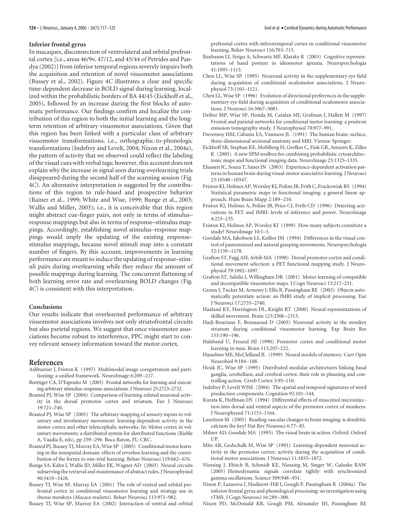# **Inferior frontal gyrus**

In macaques, disconnection of ventrolateral and orbital prefrontal cortex [i.e., areas 46/9v, 47/12, and 45/44 of Petrides and Pandya (2002)] from inferior temporal regions severely impairs both the acquisition and retention of novel visuomotor associations (Bussey et al., 2002). Figure 4*C* illustrates a clear and specific time-dependent decrease in BOLD signal during learning, localized within the probabilistic borders of BA 44/45 (Eickhoff et al., 2005), followed by an increase during the first blocks of automatic performance. Our findings confirm and localize the contribution of this region to both the initial learning and the longterm retention of arbitrary visuomotor associations. Given that this region has been linked with a particular class of arbitrary visuomotor transformations, i.e., orthographic-to-phonologic transformations (Indefrey and Levelt, 2004; Nixon et al., 2004a), the pattern of activity that we observed could reflect the labeling of the visual cues with verbal tags; however, this account does not explain why the increase in signal seen during overlearning trials disappeared during the second half of the scanning session (Fig. 4*C*). An alternative interpretation is suggested by the contributions of this region to rule-based and prospective behavior (Rainer et al., 1999; White and Wise, 1999; Bunge et al., 2003; Wallis and Miller, 2003); i.e., it is conceivable that this region might abstract cue-finger pairs, not only in terms of stimulus– response mappings but also in terms of response–stimulus mappings. Accordingly, establishing novel stimulus–response mappings would imply the updating of the existing response– stimulus mappings, because novel stimuli map into a constant number of fingers. By this account, improvements in learning performance are meant to induce the updating of response–stimuli pairs during overlearning while they reduce the amount of possible mappings during learning. The concurrent flattening of both learning error rate and overlearning BOLD changes (Fig. 4*C*) is consistent with this interpretation.

## **Conclusions**

Our results indicate that overlearned performance of arbitrary visuomotor associations involves not only striatofrontal circuits but also parietal regions. We suggest that once visuomotor associations become robust to interference, PPC might start to convey relevant sensory information toward the motor cortex.

## **References**

- Ashburner J, Friston K (1997) Multimodal image coregistration and partitioning: a unified framework. NeuroImage 6:209 –217.
- Boettiger CA, D'Esposito M (2005) Frontal networks for learning and executing arbitrary stimulus–response associations. J Neurosci 25:2723–2732.
- Brasted PJ, Wise SP (2004) Comparison of learning-related neuronal activity in the dorsal premotor cortex and striatum. Eur J Neurosci 19:721–740.
- Brasted PJ, Wise SP (2005) The arbitrary mapping of sensory inputs to voluntary and involuntary movement: learning-dependent activity in the motor cortex and other telencephalic networks. In: Motor cortex in voluntary movements: a distributed system for distributed functions (Riehle A, Vaadia E, eds), pp 259 –296. Boca Raton, FL: CRC.
- Brasted PJ, Bussey TJ, Murray EA, Wise SP (2005) Conditional motor learning in the nonspatial domain: effects of errorless learning and the contribution of the fornix to one-trial learning. Behav Neurosci 119:662–676.
- Bunge SA, Kahn I, Wallis JD, Miller EK, Wagner AD (2003) Neural circuits subserving the retrieval and maintenance of abstract rules. J Neurophysiol 90:3419 –3428.
- Bussey TJ, Wise SP, Murray EA (2001) The role of ventral and orbital prefrontal cortex in conditional visuomotor learning and strategy use in rhesus monkeys (*Macaca mulatta*). Behav Neurosci 115:971–982.
- Bussey TJ, Wise SP, Murray EA (2002) Interaction of ventral and orbital

prefrontal cortex with inferotemporal cortex in conditional visuomotor learning. Behav Neurosci 116:703–715.

- Buxbaum LJ, Sirigu A, Schwartz MF, Klatzky R (2003) Cognitive representations of hand posture in ideomotor apraxia. Neuropsychologia 41:1091–1113.
- Chen LL, Wise SP (1995) Neuronal activity in the supplementary eye field during acquisition of conditional oculomotor associations. J Neurophysiol 73:1101–1121.
- Chen LL, Wise SP (1996) Evolution of directional preferences in the supplementary eye field during acquisition of conditional oculomotor associations. J Neurosci 16:3067–3081.
- Deiber MP, Wise SP, Honda M, Catalan MJ, Grafman J, Hallett M (1997) Frontal and parietal networks for conditional motor learning: a positron emission tomography study. J Neurophysiol 78:977–991.
- Duvernoy HM, Cabanis EA, Vannson JL (1991) The human brain: surface, three-dimensional sectional anatomy and MRI. Vienna: Springer.
- Eickhoff SB, Stephan KE, Mohlberg H, Grefkes C, Fink GR, Amunts K, Zilles K (2005) A new SPM toolbox for combining probabilistic cytoarchitectonic maps and functional imaging data. NeuroImage 25:1325–1335.
- Eliassen JC, Souza T, Sanes JN (2003) Experience-dependent activation patterns in human brain during visual-motor associative learning. J Neurosci 23:10540 –10547.
- Friston KJ, Holmes AP,Worsley KJ, Poline JB, Frith C, Frackowiak RS (1994) Statistical parametric maps in functional imaging: a general linear approach. Hum Brain Mapp 2:189 –210.
- Friston KJ, Holmes A, Poline JB, Price CJ, Frith CD (1996) Detecting activations in PET and fMRI: levels of inference and power. NeuroImage 4:223–235.
- Friston KJ, Holmes AP, Worsley KJ (1999) How many subjects constitute a study? NeuroImage 10:1–5.
- Goodale MA, Jakobson LS, Keillor JM (1994) Differences in the visual control of pantomimed and natural grasping movements. Neuropsychologia 32:1159 –1178.
- Grafton ST, Fagg AH, Arbib MA (1998) Dorsal premotor cortex and conditional movement selection: a PET functional mapping study. J Neurophysiol 79:1092–1097.
- Grafton ST, Salidis J, Willingham DB (2001) Motor learning of compatible and incompatible visuomotor maps. J Cogn Neurosci 13:217–231.
- Grezes J, Tucker M, Armony J, Ellis R, Passingham RE (2003) Objects automatically potentiate action: an fMRI study of implicit processing. Eur J Neurosci 17:2735–2740.
- Haaland KY, Harrington DL, Knight RT (2000) Neural representations of skilled movement. Brain 123:2306 –2313.
- Hadj-Bouziane F, Boussaoud D (2003) Neuronal activity in the monkey striatum during conditional visuomotor learning. Exp Brain Res 153:190 –196.
- Halsband U, Freund HJ (1990) Premotor cortex and conditional motor learning in man. Brain 113:207–222.
- Hasselmo ME, McClelland JL (1999) Neural models of memory. Curr Opin Neurobiol 9:184 –188.
- Houk JC, Wise SP (1995) Distributed modular architectures linking basal ganglia, cerebellum, and cerebral cortex: their role in planning and controlling action. Cereb Cortex 5:95–110.
- Indefrey P, Levelt WJM (2004) The spatial and temporal signatures of word production components. Cognition 92:101–144.
- Kurata K, Hoffman DS (1994) Differential effects of muscimol microinjection into dorsal and ventral aspects of the premotor cortex of monkeys. J Neurophysiol 71:1151–1164.
- Lauritzen M (2005) Reading vascular changes in brain imaging: is dendritic calcium the key? Nat Rev Neurosci 6:77–85.
- Milner AD, Goodale MA (1995) The visual brain in action. Oxford: Oxford UP.
- Mitz AR, Godschalk M, Wise SP (1991) Learning-dependent neuronal activity in the premotor cortex: activity during the acquisition of conditional motor associations. J Neurosci 11:1855–1872.
- Niessing J, Ebisch B, Schmidt KE, Niessing M, Singer W, Galuske RAW (2005) Hemodynamic signals correlate tightly with synchronized gamma oscillations. Science 309:948 –951.
- Nixon P, Lazarova J, Hodinott-Hill I, Gough P, Passingham R (2004a) The inferior frontal gyrus and phonological processing: an investigation using rTMS. J Cogn Neurosci 16:289 –300.
- Nixon PD, McDonald KR, Gough PM, Alexander IH, Passingham RE